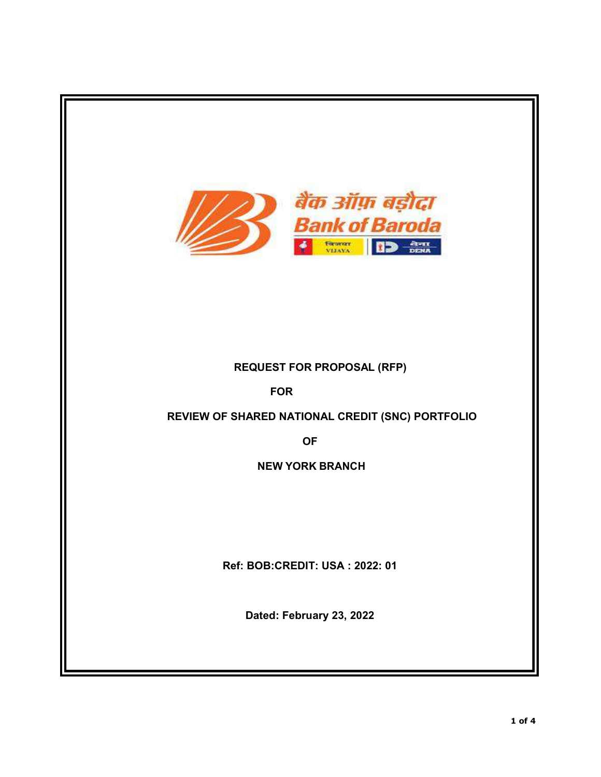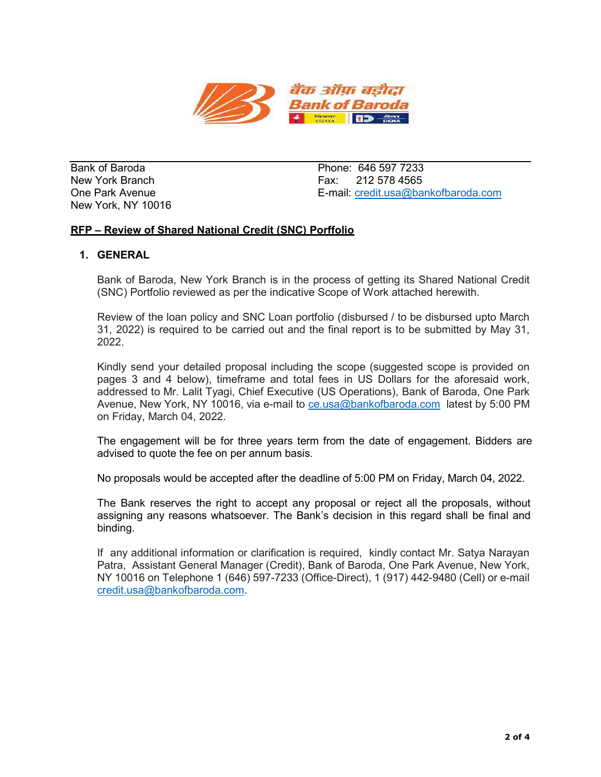

Bank of Baroda **Phone: 646 597 7233** New York, NY 10016

New York Branch **Fax: 212 578 4565** One Park Avenue E-mail: credit.usa@bankofbaroda.com

# RFP – Review of Shared National Credit (SNC) Porffolio

## 1. GENERAL

Bank of Baroda, New York Branch is in the process of getting its Shared National Credit (SNC) Portfolio reviewed as per the indicative Scope of Work attached herewith.

Review of the loan policy and SNC Loan portfolio (disbursed / to be disbursed upto March 31, 2022) is required to be carried out and the final report is to be submitted by May 31, 2022.

Kindly send your detailed proposal including the scope (suggested scope is provided on pages 3 and 4 below), timeframe and total fees in US Dollars for the aforesaid work, addressed to Mr. Lalit Tyagi, Chief Executive (US Operations), Bank of Baroda, One Park Avenue, New York, NY 10016, via e-mail to ce.usa@bankofbaroda.com latest by 5:00 PM on Friday, March 04, 2022.

The engagement will be for three years term from the date of engagement. Bidders are advised to quote the fee on per annum basis.

No proposals would be accepted after the deadline of 5:00 PM on Friday, March 04, 2022.

The Bank reserves the right to accept any proposal or reject all the proposals, without assigning any reasons whatsoever. The Bank's decision in this regard shall be final and binding.

If any additional information or clarification is required, kindly contact Mr. Satya Narayan Patra, Assistant General Manager (Credit), Bank of Baroda, One Park Avenue, New York, NY 10016 on Telephone 1 (646) 597-7233 (Office-Direct), 1 (917) 442-9480 (Cell) or e-mail credit.usa@bankofbaroda.com.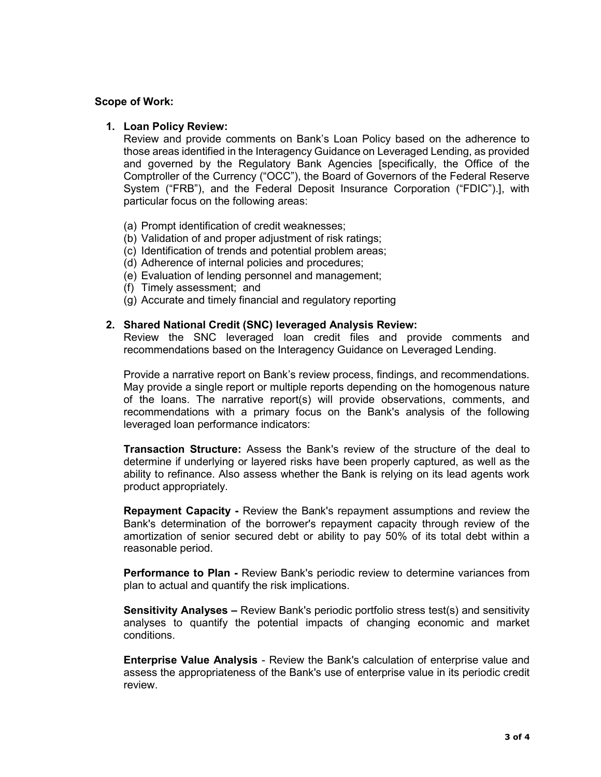### Scope of Work:

### 1. Loan Policy Review:

Review and provide comments on Bank's Loan Policy based on the adherence to those areas identified in the Interagency Guidance on Leveraged Lending, as provided and governed by the Regulatory Bank Agencies [specifically, the Office of the Comptroller of the Currency ("OCC"), the Board of Governors of the Federal Reserve System ("FRB"), and the Federal Deposit Insurance Corporation ("FDIC").], with particular focus on the following areas:

- (a) Prompt identification of credit weaknesses;
- (b) Validation of and proper adjustment of risk ratings;
- (c) Identification of trends and potential problem areas;
- (d) Adherence of internal policies and procedures;
- (e) Evaluation of lending personnel and management;
- (f) Timely assessment; and
- (g) Accurate and timely financial and regulatory reporting

### 2. Shared National Credit (SNC) leveraged Analysis Review:

Review the SNC leveraged loan credit files and provide comments and recommendations based on the Interagency Guidance on Leveraged Lending.

Provide a narrative report on Bank's review process, findings, and recommendations. May provide a single report or multiple reports depending on the homogenous nature of the loans. The narrative report(s) will provide observations, comments, and recommendations with a primary focus on the Bank's analysis of the following leveraged loan performance indicators:

Transaction Structure: Assess the Bank's review of the structure of the deal to determine if underlying or layered risks have been properly captured, as well as the ability to refinance. Also assess whether the Bank is relying on its lead agents work product appropriately.

Repayment Capacity - Review the Bank's repayment assumptions and review the Bank's determination of the borrower's repayment capacity through review of the amortization of senior secured debt or ability to pay 50% of its total debt within a reasonable period.

Performance to Plan - Review Bank's periodic review to determine variances from plan to actual and quantify the risk implications.

Sensitivity Analyses – Review Bank's periodic portfolio stress test(s) and sensitivity analyses to quantify the potential impacts of changing economic and market conditions.

Enterprise Value Analysis - Review the Bank's calculation of enterprise value and assess the appropriateness of the Bank's use of enterprise value in its periodic credit review.